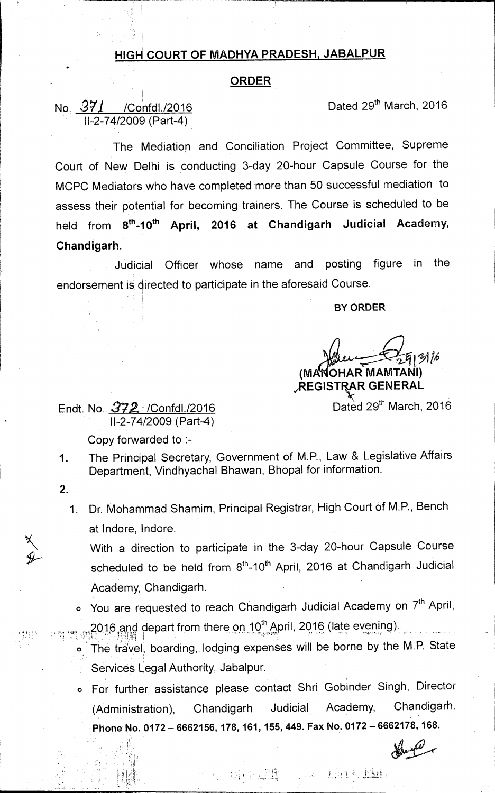## **HIGH COURT OF MADHYA PRADESH, JABALPUR**

## **ORDER**

No.  $371$  /Confdl./2016 **Dated 29th March, 2016** 11-2-74/2009 (Part-4)

The Mediation and Conciliation Project Committee, Supreme Court of New Delhi is conducting 3-day 20-hour Capsule Course for the MCPC Mediators who have completed more than 50 successful mediation to assess their potential for becoming trainers. The Course is scheduled to be held from 8<sup>th</sup>-10<sup>th</sup> April, 2016 at Chandigarh Judicial Academy, **Chandigarh.** 

Judicial Officer whose name and posting figure in the endorsement is directed to participate in the aforesaid Course.

**BY ORDER** 

**(MA OHAR MAMTANI)** 

**iREGISTRA, R GENERAL** 

Dated 29<sup>th</sup> March, 2016

Endt. No.  $372 \times$  /Confdl./2016 11-2-74/2009 (Part-4)

Copy forwarded to :-

- 1. The Principal Secretary, Government of M.P., Law & Legislative Affairs Department, Vindhyachal Bhawan, Bhopal for information.
- **2.**

it I

1. Dr. Mohammad Shamim, Principal Registrar, High Court of M.P., Bench at lndore, lndore.

With a direction to participate in the 3-day 20-hour Capsule Course scheduled to be held from 8<sup>th</sup>-10<sup>th</sup> April, 2016 at Chandigarh Judicial Academy, Chandigarh.

- o You are requested to reach Chandigarh Judicial Academy on 7<sup>th</sup> April, 2016,and depart from there on 10<sup>th</sup> April, 2016 (late evening).
- **<sup>o</sup>**The travel; boarding, lodging expenses will be borne by the M.P. State Services Legal Authority, Jabalpur.
	- For further assistance please contact Shri Gobinder Singh, Director (Administration), Chandigarh Judicial Academy, Chandigarh. Phone No. 0172 - 6662156, 178, 161, 155, 449. Fax No. 0172 - 6662178, 168.

Pastigmagle and the speed film